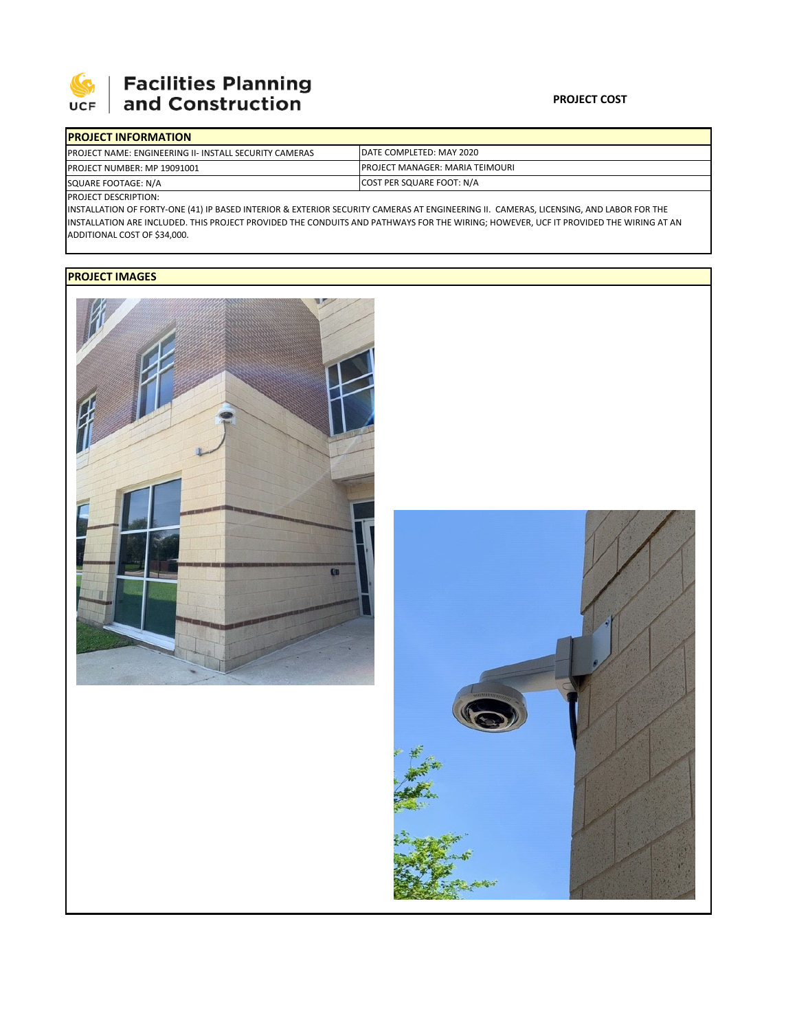

## **Facilities Planning**<br>and Construction

| DATE COMPLETED: MAY 2020                |
|-----------------------------------------|
| <b>IPROJECT MANAGER: MARIA TEIMOURI</b> |
| COST PER SQUARE FOOT: N/A               |
|                                         |

PROJECT DESCRIPTION:

INSTALLATION OF FORTY‐ONE (41) IP BASED INTERIOR & EXTERIOR SECURITY CAMERAS AT ENGINEERING II. CAMERAS, LICENSING, AND LABOR FOR THE INSTALLATION ARE INCLUDED. THIS PROJECT PROVIDED THE CONDUITS AND PATHWAYS FOR THE WIRING; HOWEVER, UCF IT PROVIDED THE WIRING AT AN ADDITIONAL COST OF \$34,000.

## **PROJECT IMAGES**